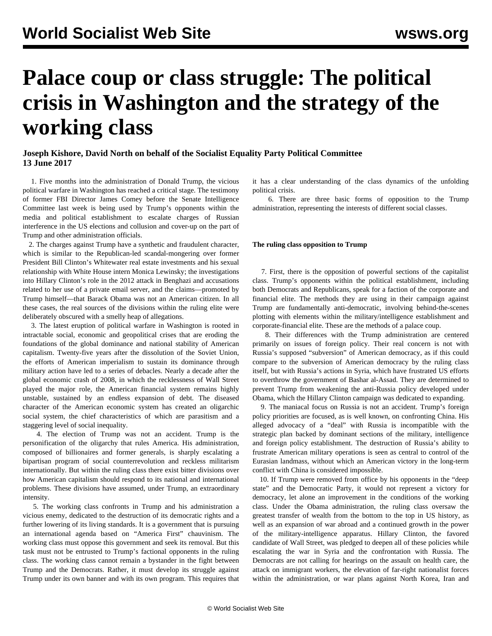# **Palace coup or class struggle: The political crisis in Washington and the strategy of the working class**

## **Joseph Kishore, David North on behalf of the Socialist Equality Party Political Committee 13 June 2017**

 1. Five months into the administration of Donald Trump, the vicious political warfare in Washington has reached a critical stage. The testimony of former FBI Director James Comey before the Senate Intelligence Committee last week is being used by Trump's opponents within the media and political establishment to escalate charges of Russian interference in the US elections and collusion and cover-up on the part of Trump and other administration officials.

 2. The charges against Trump have a synthetic and fraudulent character, which is similar to the Republican-led scandal-mongering over former President Bill Clinton's Whitewater real estate investments and his sexual relationship with White House intern Monica Lewinsky; the investigations into Hillary Clinton's role in the 2012 attack in Benghazi and accusations related to her use of a private email server, and the claims—promoted by Trump himself—that Barack Obama was not an American citizen. In all these cases, the real sources of the divisions within the ruling elite were deliberately obscured with a smelly heap of allegations.

 3. The latest eruption of political warfare in Washington is rooted in intractable social, economic and geopolitical crises that are eroding the foundations of the global dominance and national stability of American capitalism. Twenty-five years after the dissolution of the Soviet Union, the efforts of American imperialism to sustain its dominance through military action have led to a series of debacles. Nearly a decade after the global economic crash of 2008, in which the recklessness of Wall Street played the major role, the American financial system remains highly unstable, sustained by an endless expansion of debt. The diseased character of the American economic system has created an oligarchic social system, the chief characteristics of which are parasitism and a staggering level of social inequality.

 4. The election of Trump was not an accident. Trump is the personification of the oligarchy that rules America. His administration, composed of billionaires and former generals, is sharply escalating a bipartisan program of social counterrevolution and reckless militarism internationally. But within the ruling class there exist bitter divisions over how American capitalism should respond to its national and international problems. These divisions have assumed, under Trump, an extraordinary intensity.

 5. The working class confronts in Trump and his administration a vicious enemy, dedicated to the destruction of its democratic rights and a further lowering of its living standards. It is a government that is pursuing an international agenda based on "America First" chauvinism. The working class must oppose this government and seek its removal. But this task must not be entrusted to Trump's factional opponents in the ruling class. The working class cannot remain a bystander in the fight between Trump and the Democrats. Rather, it must develop its struggle against Trump under its own banner and with its own program. This requires that it has a clear understanding of the class dynamics of the unfolding political crisis.

 6. There are three basic forms of opposition to the Trump administration, representing the interests of different social classes.

### **The ruling class opposition to Trump**

 7. First, there is the opposition of powerful sections of the capitalist class. Trump's opponents within the political establishment, including both Democrats and Republicans, speak for a faction of the corporate and financial elite. The methods they are using in their campaign against Trump are fundamentally anti-democratic, involving behind-the-scenes plotting with elements within the military/intelligence establishment and corporate-financial elite. These are the methods of a palace coup.

 8. Their differences with the Trump administration are centered primarily on issues of foreign policy. Their real concern is not with Russia's supposed "subversion" of American democracy, as if this could compare to the subversion of American democracy by the ruling class itself, but with Russia's actions in Syria, which have frustrated US efforts to overthrow the government of Bashar al-Assad. They are determined to prevent Trump from weakening the anti-Russia policy developed under Obama, which the Hillary Clinton campaign was dedicated to expanding.

 9. The maniacal focus on Russia is not an accident. Trump's foreign policy priorities are focused, as is well known, on confronting China. His alleged advocacy of a "deal" with Russia is incompatible with the strategic plan backed by dominant sections of the military, intelligence and foreign policy establishment. The destruction of Russia's ability to frustrate American military operations is seen as central to control of the Eurasian landmass, without which an American victory in the long-term conflict with China is considered impossible.

 10. If Trump were removed from office by his opponents in the "deep state" and the Democratic Party, it would not represent a victory for democracy, let alone an improvement in the conditions of the working class. Under the Obama administration, the ruling class oversaw the greatest transfer of wealth from the bottom to the top in US history, as well as an expansion of war abroad and a continued growth in the power of the military-intelligence apparatus. Hillary Clinton, the favored candidate of Wall Street, was pledged to deepen all of these policies while escalating the war in Syria and the confrontation with Russia. The Democrats are not calling for hearings on the assault on health care, the attack on immigrant workers, the elevation of far-right nationalist forces within the administration, or war plans against North Korea, Iran and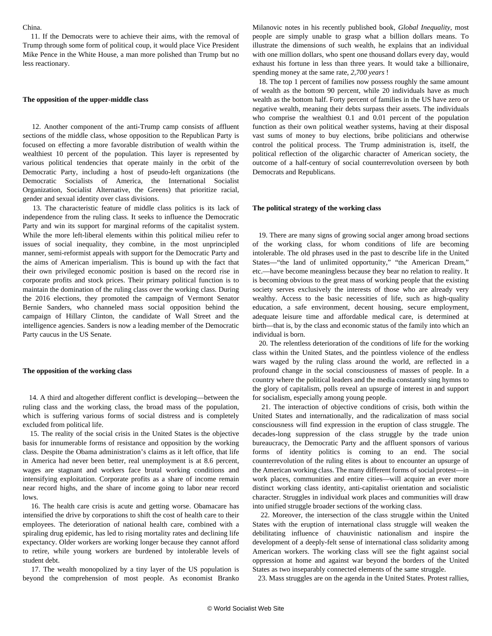#### China.

 11. If the Democrats were to achieve their aims, with the removal of Trump through some form of political coup, it would place Vice President Mike Pence in the White House, a man more polished than Trump but no less reactionary.

#### **The opposition of the upper-middle class**

 12. Another component of the anti-Trump camp consists of affluent sections of the middle class, whose opposition to the Republican Party is focused on effecting a more favorable distribution of wealth within the wealthiest 10 percent of the population. This layer is represented by various political tendencies that operate mainly in the orbit of the Democratic Party, including a host of pseudo-left organizations (the Democratic Socialists of America, the International Socialist Organization, Socialist Alternative, the Greens) that prioritize racial, gender and sexual identity over class divisions.

 13. The characteristic feature of middle class politics is its lack of independence from the ruling class. It seeks to influence the Democratic Party and win its support for marginal reforms of the capitalist system. While the more left-liberal elements within this political milieu refer to issues of social inequality, they combine, in the most unprincipled manner, semi-reformist appeals with support for the Democratic Party and the aims of American imperialism. This is bound up with the fact that their own privileged economic position is based on the record rise in corporate profits and stock prices. Their primary political function is to maintain the domination of the ruling class over the working class. During the 2016 elections, they promoted the campaign of Vermont Senator Bernie Sanders, who channeled mass social opposition behind the campaign of Hillary Clinton, the candidate of Wall Street and the intelligence agencies. Sanders is now a leading member of the Democratic Party caucus in the US Senate.

#### **The opposition of the working class**

 14. A third and altogether different conflict is developing—between the ruling class and the working class, the broad mass of the population, which is suffering various forms of social distress and is completely excluded from political life.

 15. The reality of the social crisis in the United States is the objective basis for innumerable forms of resistance and opposition by the working class. Despite the Obama administration's claims as it left office, that life in America had never been better, real unemployment is at 8.6 percent, wages are stagnant and workers face brutal working conditions and intensifying exploitation. Corporate profits as a share of income remain near record highs, and the share of income going to labor near record lows.

 16. The health care crisis is acute and getting worse. Obamacare has intensified the drive by corporations to shift the cost of health care to their employees. The deterioration of national health care, combined with a spiraling drug epidemic, has led to rising mortality rates and declining life expectancy. Older workers are working longer because they cannot afford to retire, while young workers are burdened by intolerable levels of student debt.

 17. The wealth monopolized by a tiny layer of the US population is beyond the comprehension of most people. As economist Branko Milanovic notes in his recently published book, *Global Inequality*, most people are simply unable to grasp what a billion dollars means. To illustrate the dimensions of such wealth, he explains that an individual with one million dollars, who spent one thousand dollars every day, would exhaust his fortune in less than three years. It would take a billionaire, spending money at the same rate, *2,700 years* !

 18. The top 1 percent of families now possess roughly the same amount of wealth as the bottom 90 percent, while 20 individuals have as much wealth as the bottom half. Forty percent of families in the US have zero or negative wealth, meaning their debts surpass their assets. The individuals who comprise the wealthiest 0.1 and 0.01 percent of the population function as their own political weather systems, having at their disposal vast sums of money to buy elections, bribe politicians and otherwise control the political process. The Trump administration is, itself, the political reflection of the oligarchic character of American society, the outcome of a half-century of social counterrevolution overseen by both Democrats and Republicans.

#### **The political strategy of the working class**

 19. There are many signs of growing social anger among broad sections of the working class, for whom conditions of life are becoming intolerable. The old phrases used in the past to describe life in the United States—"the land of unlimited opportunity," "the American Dream," etc.—have become meaningless because they bear no relation to reality. It is becoming obvious to the great mass of working people that the existing society serves exclusively the interests of those who are already very wealthy. Access to the basic necessities of life, such as high-quality education, a safe environment, decent housing, secure employment, adequate leisure time and affordable medical care, is determined at birth—that is, by the class and economic status of the family into which an individual is born.

 20. The relentless deterioration of the conditions of life for the working class within the United States, and the pointless violence of the endless wars waged by the ruling class around the world, are reflected in a profound change in the social consciousness of masses of people. In a country where the political leaders and the media constantly sing hymns to the glory of capitalism, polls reveal an upsurge of interest in and support for socialism, especially among young people.

 21. The interaction of objective conditions of crisis, both within the United States and internationally, and the radicalization of mass social consciousness will find expression in the eruption of class struggle. The decades-long suppression of the class struggle by the trade union bureaucracy, the Democratic Party and the affluent sponsors of various forms of identity politics is coming to an end. The social counterrevolution of the ruling elites is about to encounter an upsurge of the American working class. The many different forms of social protest—in work places, communities and entire cities—will acquire an ever more distinct working class identity, anti-capitalist orientation and socialistic character. Struggles in individual work places and communities will draw into unified struggle broader sections of the working class.

 22. Moreover, the intersection of the class struggle within the United States with the eruption of international class struggle will weaken the debilitating influence of chauvinistic nationalism and inspire the development of a deeply-felt sense of international class solidarity among American workers. The working class will see the fight against social oppression at home and against war beyond the borders of the United States as two inseparably connected elements of the same struggle.

23. Mass struggles are on the agenda in the United States. Protest rallies,